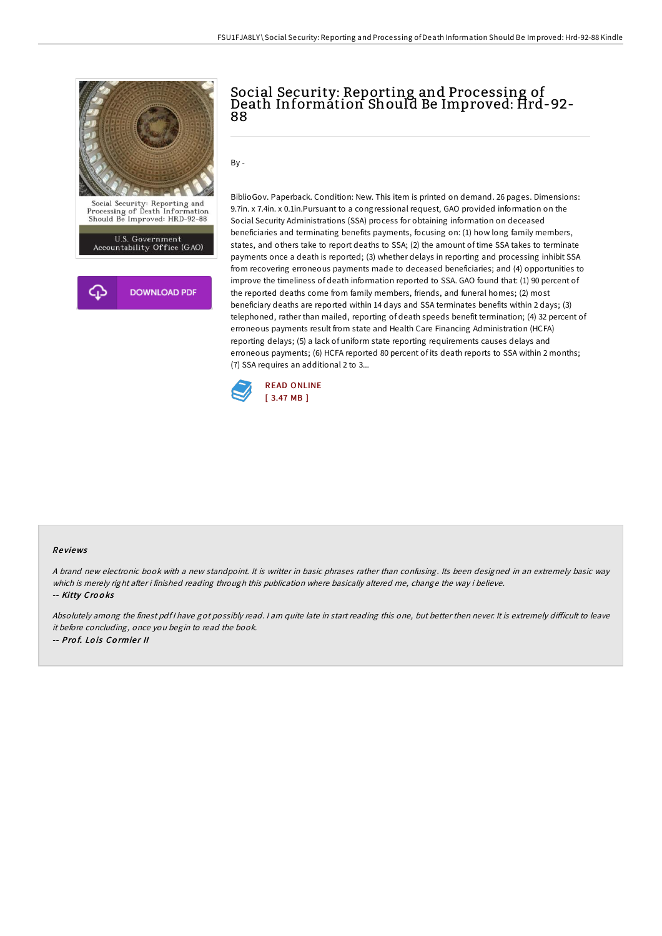



# Social Security: Reporting and Processing of Death Information Should Be Improved: Hrd-92- 88

 $Bv -$ 

BiblioGov. Paperback. Condition: New. This item is printed on demand. 26 pages. Dimensions: 9.7in. x 7.4in. x 0.1in.Pursuant to a congressional request, GAO provided information on the Social Security Administrations (SSA) process for obtaining information on deceased beneficiaries and terminating benefits payments, focusing on: (1) how long family members, states, and others take to report deaths to SSA; (2) the amount of time SSA takes to terminate payments once a death is reported; (3) whether delays in reporting and processing inhibit SSA from recovering erroneous payments made to deceased beneficiaries; and (4) opportunities to improve the timeliness of death information reported to SSA. GAO found that: (1) 90 percent of the reported deaths come from family members, friends, and funeral homes; (2) most beneficiary deaths are reported within 14 days and SSA terminates benefits within 2 days; (3) telephoned, rather than mailed, reporting of death speeds benefit termination; (4) 32 percent of erroneous payments result from state and Health Care Financing Administration (HCFA) reporting delays; (5) a lack of uniform state reporting requirements causes delays and erroneous payments; (6) HCFA reported 80 percent of its death reports to SSA within 2 months; (7) SSA requires an additional 2 to 3...



#### Re views

<sup>A</sup> brand new electronic book with <sup>a</sup> new standpoint. It is writter in basic phrases rather than confusing. Its been designed in an extremely basic way which is merely right after i finished reading through this publication where basically altered me, change the way i believe. -- Kitty Crooks

Absolutely among the finest pdf I have got possibly read. I am quite late in start reading this one, but better then never. It is extremely difficult to leave it before concluding, once you begin to read the book. -- Prof. Lois Cormier II